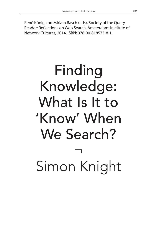René König and Miriam Rasch (eds), Society of the Query Reader: Reflections on Web Search, Amsterdam: Institute of Network Cultures, 2014. ISBN: 978-90-818575-8-1.

# Finding Knowledge: What Is It to 'Know' When We Search? ¬ Simon Knight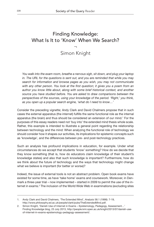## Finding Knowledge: What Is It to 'Know' When We Search? ¬ Simon Knight

*You walk into the exam room, breathe a nervous sigh, sit down, and plug your laptop in. The URL for the questions is sent out, and you are reminded that while you may search for information and browse pages as you wish, you may not communicate with any other person. You look at the first question; it gives you a poem from an author you know little about, along with some brief historical context, and another source you have studied before. You are asked to draw comparisons between the perspectives of the sources, using your knowledge of the period. 'Right,' you think, as you open up a popular search engine, 'what do I need to know…'*

Consider the preceding vignette; Andy Clark and David Chalmers propose that in such cases the external apparatus (the internet) fulfills the same functional role as the internal apparatus (the brain) and thus should be considered an extension of our mind.<sup>1</sup> For the purposes of this essay readers need not 'buy into' the extended mind thesis whole scale. Rather, this example is intended to illustrate a general point regarding the relationship between technology and the mind: When analyzing the functional role of technology we should consider how it shapes our activities, its implications for epistemic concepts such as 'knowledge', and the differences between pre- and post-technology practices.

Such an analysis has profound implications in education, for example. Under what circumstances do we accept that students 'know' something? How do we decide that they know something (that is, how do educators claim knowledge of their student's knowledge states) and also that such knowledge is important? Furthermore, how do we think about the future of technology and the ways that technology might change what we believe is important (for better or worse)?

Indeed, the issue of external tools is not an abstract problem. Open book exams have existed for some time, as have 'take home' exams and coursework. Moreover, in Denmark a three-year trial – now implemented – started in 2009 to permit the use of the internet in exams.<sup>2</sup> The inclusion of the World Wide Web in examinations (excluding sites

<sup>1.</sup> Andy Clark and David Chalmers, 'The Extended Mind', *Analysis* 58.1 (1998): 7-19, http://www.philosophy.ed.ac.uk/people/clark/pubs/TheExtendedMind.pdf.

<sup>2.</sup> Simon Knight, 'Danish Use of Internet in Exams – Epistemology, Pedagogy, Assessment…' Finding Knowledge blog, 23 July 2013, http://people.kmi.open.ac.uk/knight/2013/07/danish-useof-internet-in-exams-epistemology-pedagogy-assessment/.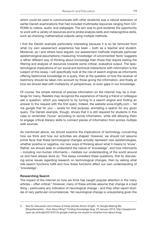which could be used to communicate with other students) was a natural extension of earlier Danish examinations that had included multimedia resources ranging from CD-ROMs to videos, audio, and webpages. The aim was to give students the opportunity to work with a variety of resources and to probe analysis skills and metacognitive skills, such as checking mathematical outputs using multiple methods.

I find the Danish example particularly interesting because it is so far removed from what my own assessment experience has been – both as a teacher and student. Moreover, as I and others have argued, our assessment methods implicate particular epistemological assumptions; measuring 'knowledge' of unconnected 'facts' suggests a rather different way of thinking about knowledge than those that require testing the filtering and analysis of resources towards some critical, evaluative output. The epistemological implications of our social and technical interactions with information is the subject of this essay. I will specifically look at the role of search engines as informants offering testimonial knowledge on a query, then at the question of how the receiver of testimony should be taken into account by those giving the information, and finally at how we should deal with multiplicity of perspectives, or even gaps in our knowledge.

Of course, the simple retrieval of precise information on the internet may be a challenge for many. Readers may recognize the experience of having a friend or colleague ask a question, which you respond to by turning to a search engine and finding an answer to the request with the first query. Indeed, the website www.lmgtfy.com – 'let me google that for you' – exists for that purpose, animating a search for any given query. The Danish example, though, shows that it is still required for students in this case to remember ('know' according to some) information, while still allowing them to engage critical literacy skills to connect pieces of information from across multiple web sources.

As mentioned above, we should examine the implications of technology concerning how we think and how our activities are shaped. However, we should not assume *prima facie* that these technological changes actually represent new epistemologies, whether positive or negative, nor new ways of thinking about what it means to 'know'. Rather, we should seek to understand the nature of 'knowledge', and how informants – including non-human informants – mediate our understanding of the world around us and have always done so. This essay considers these questions, first by discussing some issues regarding research on technological changes, then by asking what role search functions fulfill and how these functions affect our own understanding of 'knowledge'.

#### **Researching Search**

The impact of the internet on how we think has caught popular attention in the many articles – often critical.<sup>3</sup> However, many of these articles assume that change is a bad thing – particularly any indication of neurological change – and they often report studies of very particular circumstances. Yet neurological change is unsurprising given the

<sup>3.</sup> See for discussion and critique of these articles Simon Knight, 'Is Google Making Me [Stupid|smarter]…How About Bing?' Finding Knowledge blog, 23 January 2013, http://people.kmi. open.ac.uk/knight/2013/01/is-google-making-me-stupid-or-smarter-how-about-bing/.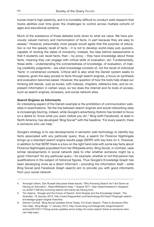human brain's high plasticity, and it is incredibly difficult to conduct solid research that tracks abilities over time given the challenges to control across multiple cohorts of ages and educational systems.

Much of the substance of these debates boils down to what we value. We have previously valued memory and memorization of facts, in part because they are easy to assess.4 However, presumably most people would agree that the purpose of education is not the speedy recall of facts – it is not to develop world-class pub quizzers, capable of reciting the dates of monarchy. Instead, the idea behind assessments is that if students can recall facts, then – by proxy – they have knowledge about those facts, meaning they can engage with critical skills of evaluation, etc. Fundamentally, these skills – understanding the connectedness of knowledge, of evaluation, of making credibility judgments – are what knowledge consists of, not the recall of individual 'facts' in constrained contexts. Critical skill is also what the Danish system seeks to measure; given the easy access to facts through search engines, a focus on synthesis and evaluation becomes easier. However, the question of how the tools help shape our thinking still stands. Just as books, with indexes, chapters, reference lists, and so on, present information in certain ways, so too does the internet and its tools of access, such as search engines, browsers, and social network sites.

#### **Search Engines as Informants**

An interesting aspect of the Danish example is the prohibition of communication websites in examinations. Yet the line between search engines and social networking sites is increasingly blurring. Indeed, while Google's advertising rhetoric has tended to focus on a desire to 'know what you want, before you do',<sup>5</sup> Bing (with Facebook), at least in North America, has developed 'Bing Social'<sup>6</sup> with the headline: 'For every search, there is someone who can help.'

Google's strategy is to use developments in semantic web technology to identify key facts associated with any particular query; thus, a search for Florence Nightingale brings up a standard search engine results page (SERP) with key links on it. However, in addition to that SERP, there is a box on the right hand side with some key facts about Florence Nightingale populated from her Wikipedia entry. Bing Social, in contrast, uses similar developments in social network data to infer whether someone might be a good 'informant' for any particular query – for example, whether or not that person has qualifications in the subject of historical figures. Thus Google's Knowledge Graph has been developing more as a direct informant – providing the information itself – while Bing Social (and Facebook Graph search) aim to provide you with good informants from your social network.

<sup>4.</sup> Amongst others, Dan Russell discusses these issues: 'Why Knowing Search Isn't the Same as Having an Education', SearchReSearch blog, 1 August 2011, http://searchresearch1.blogspot. co.uk/2011/08/why-knowing-search-isnt-same-as-having.html.

<sup>5.</sup> Tim Adams, 'Google and the Future of Search: Amit Singhal and the Knowledge Graph', *The Guardian*, 19 January 2013, http://www.theguardian.com/technology/2013/jan/19/google-searchknowledge-graph-singhal-interview.

<sup>6.</sup> Derrick Connell, 'Bing Social Updates Arrive Today: For Every Search, There is Someone Who Can Help', Bing Blogs, 17 January 2013, http://www.bing.com/blogs/site\_blogs/b/search/ archive/2013/01/17/bing-social-updates-arrive-today-for-every-search-there-is-someone-whocan-help.aspx.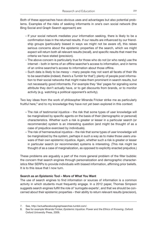Both of these approaches have obvious uses and advantages but also potential problems. Examples of the risks of seeking informants in one's own social network (the Bing Social and Graph Search approach) are:

- If your social network mediates your information seeking, there is likely to be a confirmation bias in the returned results. If our results are influenced by our friendship groups (particularly biased in ways we might not be aware of), this raises serious concerns about the epistemic properties of the search, which we might expect will return both all relevant results (recall), and specific results that meet the criteria we have stated (precision).
- The above concern is particularly true for those who do not (or who rarely) use the internet – both in terms of an offline searcher's access to information, and in terms of an online searcher's access to information about those offline.
- Such data is likely to be *messy*  many people may not want all facets of their life to be searchable (indeed, there's a Tumblr for that<sup>7</sup>); plenty of people post information to their social networks that might make them prominent in search results, but not necessarily good informants. For example they 'like' pages for signaling some attribute they don't actually have, or to get discounts from brands, or to monitor activity (e.g. watching a political opponent's activity).

Two key ideas from the work of philosopher Miranda Fricker strike me as particularly fruitful here,<sup>8</sup> and to my knowledge they have not yet been explored in this context:

- The risk of testimonial injustice the risk that some types of user knowledge will be marginalized by specific agents on the basis of their (demographic or personal) characteristics. Whether such a risk is greater or lesser in a particular search (or recommender) system is an interesting question (and might be thought of as a case of prejudice exercised by individuals).
- The risk of hermeneutical injustice the risk that some types of user knowledge will be marginalized by the system, perhaps in such a way as to make those users unaware of their own epistemic injustice. Again, whether such a risk is greater or lesser in particular search (or recommender) systems is interesting. (This risk might be thought of as a case of marginalization, as opposed to explicitly enacted prejudice.)

These problems are arguably a part of the more general problem of the filter bubble: the concern that search engines through personalization and demographic characteristics filter SERPs to provide individuals with biased information, affirming prior beliefs. It is to this issue that I now turn.

### **Search as an Epistemic Tool – More of What You Want**

The use of search engines to find information or sources of information is a common activity in which students must frequently engage. In a 2012 paper, Thomas Simpson suggests search engines fulfill the role of 'surrogate experts', and that we should be concerned about their epistemic properties – their ability to return relevant results (precision),

<sup>7.</sup> See, http://actualfacebookgraphsearches.tumblr.com/.

<sup>8.</sup> See for example Miranda Fricker, *Epistemic Injustice: Power and the Ethics of Knowing*, Oxford: Oxford University Press, 2009.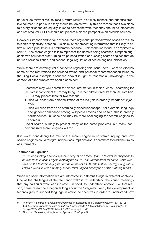not exclude relevant results (recall), return results in a timely manner, and prioritize credible sources.<sup>9</sup> In particular, they should be 'objective'. By this he means that if two sides to a story exist and are equally linked to across the web, then they should be interleafed and not stacked. SERPs should not present a biased perspective on credible sources.

However, Simpson and various other authors argue that personalization of search results fails this 'objectivity' criterion. His claim is that presenting information that is likely to affirm a user's prior beliefs is problematic because – unless the individual is an 'epistemic saint'<sup>10</sup> – the search engine fails to represent the domain being searched. Simpson suggests two solutions: first, turning off personalization or querying search engines that do not use personalization, and second, legal regulation of search engines' objectivity.

While there are certainly valid concerns regarding this issue, here I want to discuss some of the motivations for personalization and personal recommendation (such as the Bing Social example discussed above) in light of testimonial knowledge. In the context of filter bubbles we should consider:

- Searchers may well search for biased information in their queries searching for 'Al Gore inconvenient truth' may bring up rather different results than 'Al Gore liar'.
- SERPs may present bias for two reasons:
	- 1. Bias will arise from personalization of results (this is broadly *testimonial injustice*).
	- 2. Bias will arise from an epistemically biased landscape for example, language and gender dominance among Wikipedia articles and editors (this is broadly hermeneutical injustice and may be more challenging for search engines to address).
- Social search is likely to present many of the same problems, but many nonpersonalized search engines will too.

It is worth considering the role of the search engine in epistemic inquiry, and how search engines could foreground their assumptions about searchers to fulfill their roles as informants.

#### **Testimonial Expertise**

*You're conducting a school research project on a local Spanish festival that happens to be a namesake of an English clothing brand. You ask your parents for some useful websites on the festival; they give you the details of a U.K. arts festival nearby, along with a link to a website with a primary school level English description of the clothing brand…*

When we seek information we are interested in different things in different contexts. One of the challenges of the 'semantic web' is to understand the varied meanings that any particular word can indicate – in short, to understand context. For that reason, some researchers began talking about the 'pragmatic web', the development of technologies to support language in action perspectives in order to understand how

<sup>9.</sup> Thomas W. Simpson, 'Evaluating Google as an Epistemic Tool', *Metaphilosophy* 43.4 (2012): 426-445, http://people.ds.cam.ac.uk/tws21/preprints/2012\_Metaphilosophy\_Evaluating%20 Google%20as%20an%20Epistemic%20Tool\_preprint.pdf.

<sup>10.</sup> Simpson, 'Evaluating Google as an Epistemic Tool', p. 439.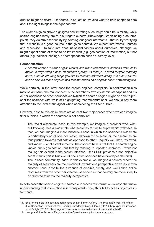queries might be *used*. 11 Of course, in education we also want to train people to care about the right things in the right context.

The example given above highlights how irritating such 'help' could be; similarly, while search engines rarely are true surrogate experts (Knowledge Graph being a counterpoint), they do strive for quality by pointing out good informants – that is, by testifying that a website is a good source in the given context. We expect informants – human and otherwise – to take into account salient factors about ourselves, although we might expect some of these to be left implicit (e.g. geolocation of information) but not others (e.g. political leanings, or perhaps facets such as literacy level).

#### **Personalization**

*A search function returns English results, and when you check quantities it defaults to metric, always using a base 10 numeric system.12 When you search for your morning news, a set of left-wing blogs you like to read are returned, along with a new source and an article a friend of yours has recommended on a popular social networking site.*

While certainly in the latter case the search engines' complicity in confirmation bias may be an issue, the real concern is the searcher's own epistemic standpoint and his or her openness to other perspectives (which the search engine might be able to present the searcher with while still highlighting recommendations). We should pay more attention to the level of the *agent* when considering the filter bubble.

However, despite this claim, there are at least two major cases where we can imagine filter bubbles in which the searcher is not complicit:

- The 'racist classmate' case. In this example, we imagine a searcher who, without knowing, has a classmate who searches for white supremacist websites. In fact, we can imagine a more innocuous case in which the searcher's classmate is particularly fond of one local café; unknown to the searcher, their searches are thus pushed towards that café as opposed to other – equally well liked, reviewed, and known – local establishments. The concern here is not that the search engine knows one's geolocation, but that by tailoring to repeated searches – while not making this explicit in the search interface – the SERP provides a non-objective set of results (this is true even if one's own searches have developed the bias).
- The 'biased community' case. In this example, we imagine a country where the majority of searchers are more inclined towards one perspective on an issue than another. Thus, despite the presence of credible, timely, and well-linked online resources from the other perspective, searchers in that country are more likely to be directed towards the majority perspective.

In both cases the search engine mediates our access to information in ways that make understanding that information *less* transparent – they thus fail to act as objective informants.

<sup>11.</sup> See for example this post and references on it in Simon Knight, 'The Pragmatic Web: More than Just Semantics Contextualized', Finding Knowledge blog, 4 January 2014, http://people.kmi.open. ac.uk/knight/2013/01/the-pragmatic-web-more-than-just-semantics-contextualised/.

<sup>12.</sup> I am grateful to Rebecca Ferguson at the Open University for these examples.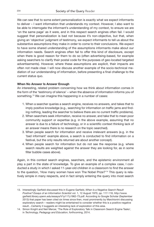We can see that to some extent personalization is exactly what we expect informants to deliver – I want information that understands my context. However, I also want to be able to interrogate the informant's understanding of my context, to ensure we are 'on the same page' as it were, and in this respect search engines often fail. I would suggest that personalization is bad not because it's non-objective, but that, when giving an 'objective' judgment of testimony, we expect informants to tell us about the substantive assumptions they make in order to come to their conclusions. We expect to have some shared understanding of the assumptions informants make about our information needs. Search engines often fail to offer this kind of disclosure, except when there is good reason for them to do so (often advertising-based, for example asking searchers to clarify their postal code for the purposes of geo-located targeted advertisements). However, where these assumptions are explicit, their impacts are often not made clear. I will now discuss another example of the socio-technical mediation of our understanding of information, before presenting a final challenge to the current status quo.

#### **When No Answer Is Answer Enough**

An interesting, related problem concerning how we think about information comes in the form of the 'testimony of silence' – when the absence of information informs you of something.<sup>13</sup> We can imagine this happening in a number of cases:

- 1. When a searcher queries a search engine, receives no answers, and takes that to imply positive knowledge (e.g., searching for information on traffic jams and finding nothing, leading the searcher to believe there are no current traffic problems).
- 2. When searchers seek information, receive no answer, and take that to mean poor community support or expertise (e.g. in the above example, assuming that no answer is due to a failure of technology, or in a scientific context thinking lack of an answer means there is no research on the topic searched).
- 3. When people search for information and receive irrelevant answers (e.g. in the 'bad informant' example above, a search is conducted to find information on a festival, but the only results returned are about another concept).
- 4. When people search for information but do not see the response (e.g. where search results are weighted against the answer they are looking for, as in some filter bubble cases above).

Again, in this context search engines, searchers, and the epistemic environment all play a part in the state of knowledge. To give an example of a complex case, I conducted a study in which I asked 11-year-old children in a classroom to find the answer to the question, 'How many women have won The Nobel Prize?'14 This query is relatively simple in many respects, and in fact simply entering the query into most search

<sup>13.</sup> Interestingly Garfield discussed this in Eugene Garfield, *When Is a Negative Search Result Positive? Essays of an Information Scientist* vol. 1, 12 August 1970, pp. 117-118, http://www. garfield.library.upenn.edu/essays/V1p117y1962-73.pdf. According to Google Scholar (September 2013) that paper has been cited six times since then, most prominently by Marchionini discussing exploratory search – readers might be entertained to consider whether this is a positive negative result…Certainly it suggests an interesting lack of exploration of this area.

<sup>14.</sup> Simon Knight and Neil Mercer, 'The Role of Exploratory Talk in Classroom Search Engine Tasks', in *Technology, Pedagogy and Education*, forthcoming, 2014.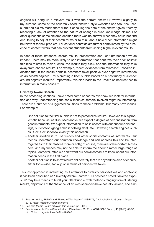engines will bring up a relevant result with the correct answer. However, slightly to my surprise, some of the children visited 'answer'-style websites and took the usersubmitted claims made there without checking the date of the answer given, thereby reflecting a lack of attention to the nature of change in such knowledge claims. For other questions some children decided there was no answer when they could not find one, failing to adjust their search terms or to think about how other information might be relevant to their problem. Educational contexts are further complicated by the presence of content filters that can prevent students from seeing highly relevant results.

In each of these instances, search results' presentation and user interaction have an impact. Users may be more likely to see information that confirms their prior beliefs; this bias relates to their queries, the results they click, and the information they take away from chosen results. For example, recent evidence from Microsoft Research indicates that in the health domain, searchers favor positive over negative information *as do search engines* – thus creating a filter bubble based on a 'testimony of silence' around negative results.15 Importantly, this bias leads to the uptake of incorrect health information in many cases.16

#### **Diversity Aware Search**

In the preceding sections I have noted some concerns over how we look for information and why understanding the socio-technical factors involved might be interesting. There are a number of suggested solutions to these problems, but many have issues. For example:

- One solution to the filter bubble is not to personalize results. However, this is problematic because, as discussed above, we expect a degree of personalization from good informants. We expect information to be in accord with our prior understandings, our context (geographic if nothing else), etc. However, search engines such as DuckDuckGo follow exactly this approach.
- Another solution is to use friends and other social contacts as informants. Our friends understand our common knowledge and can address this and be interrogated as to their reasons more directly; of course, there are still important biases here, and my friends may not be able to inform me about a rather large range of topics. Moreover, often we don't want our social contacts to know about our information needs in the first place.
- Another solution is to show results deliberately that are beyond the area of enquiry, either topic-wise, socially, or in terms of perspective taken.

This last approach is interesting as it attempts to diversify perspectives and contexts; it has been described as 'Diversity Aware Search'.17 As has been noted, 'diverse exposure' may be a means to burst your filter bubble, with methods ranging from clustering results, depictions of the 'balance' of articles searchers have actually viewed, and ask-

<sup>15.</sup> Ryen W. White, 'Beliefs and Biases in Web Search', *SIGIR'13,* Dublin, Ireland, 28 July-1 August, 2013, http://research.microsoft.com/e

<sup>16.</sup> See also Martin Feuz's article in this volume, pp. 203-215.

<sup>17.</sup> See for example, Elena Simperl et al., 'DiversiWeb 2011', In *ACM SIGIR Forum*, 45 (2011): 49-53, http://dl.acm.org/citation.cfm?id=1988861.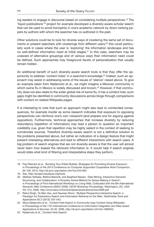ing readers to engage in discourse based on considering multiple perspectives.18 The 'liquid publications'19 project for example developed a diversity-aware scholar search that can be used to avoid homophily in one's academic network by down-ranking papers by authors with whom the searcher has co-authored in the past.

Other solutions could be to look for diverse ways of clustering the same set of documents or present searchers with clusterings from different users;<sup>20</sup> this could particularly work in cases where the user is 'exploring' the information landscape and has no well-defined information need at initial stages.<sup>21</sup> In this case, searchers may be unaware of alternative groupings and of various ways their information need could be defined. Such approaches may foreground facets of personalization that usually remain hidden.

An additional benefit of such diversity-aware search tools is that they offer the opportunity to address 'content holes' in a searcher's knowledge.<sup>22</sup> Indeed, such an approach may assist in addressing some of the issues of 'silence' raised above. To give an example taken from Nadamoto et al., we might imagine a Mexican community in which swine flu in Mexico is widely discussed and known.<sup>23</sup> However, if that community does not also relate to the wider global risk of swine flu, it has a content hole; such gaps might be identified in community discussions across blogs through comparisons with content on related Wikipedia pages.

It is interesting to note that such an approach might also lead to unintended consequences, for example insofar as some research indicates that exposure to opposing perspectives can reinforce one's own viewpoint (and prepare one for arguing against opposition). Furthermore, technical approaches that increase diversity by reducing redundancy (repetition of information) may lead a person to question an important credibility cue, given that repetition may be highly salient in the context of seeking to corroborate sources. Therefore diversity-aware search is not a definitive solution to the problems presented above, but rather an indication of a design feature that might present interesting alternatives and lead to different interactions with search users. A big problem of search engines that are not diversity-aware is that the user will almost never learn how biased the retrieved information is. It would help if search engines would state what kind of filtering and interpretative steps they perform.

<sup>18.</sup> Paul Resnick et al., 'Bursting Your (Filter) Bubble: Strategies for Promoting Diverse Exposure', in *Proceedings of the 2013 Conference on Computer Supported Cooperative Work Companion*, 95-100, 2013, http://dl.acm.org/citation.cfm?id=2441981.

<sup>19.</sup> See, http://project.liquidpub.org/tools.

<sup>20.</sup> Mathias Verbeke, Bettina Berendt, and Siegfried Nijssen, 'Data Mining, Interactive Semantic Structuring, and Collaboration: A Diversity-Aware Method for Sense-Making in Search', in *Proceedings of First International Workshop on Living Web, Collocated with the 8th International Semantic Web Conference (ISWC-2009). CEUR Workshop Proceedings, Washington, DC, USA*. Vol. 515, 2009, http://www.liacs.nl/home/snijssen/publications/iswc2009.pdf.

<sup>21.</sup> Rahul Singh, Ya-Wen Hsu, and Naureen Moon, 'Multiple Perspective Interactive Search: a Paradigm for Exploratory Search and Information Retrieval on the Web', *Multimedia Tools and Applications* 62.2 (2013): 507-543.

<sup>22.</sup> Akiyo Nadamoto et al., 'Content Hole Search in Community-type Content Using Wikipedia', in *Proceedings of the 11th International Conference on Information Integration and Web-based Applications & Services*, 25-32, 2009, http://dl.acm.org/citation.cfm?id=1806353.

<sup>23.</sup> Nadamoto et al., 'Content Hole Search'.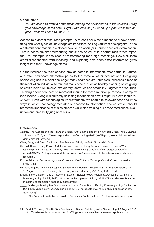#### **Conclusions**

*You are asked to draw a comparison among the perspectives in the sources, using your knowledge of the time. 'Right', you think, as you open up a popular search engine, 'what do I need to know…'*

Access to external resources prompts us to consider what it means to 'know' something and what types of knowledge are important. Asking you what a 'clepsydra' is has a different connotation in a closed book or an open (or internet-enabled) examination. That is not to say that memorizing 'facts' has no value; it is sometimes rather important, for example in the case of remembering road sign meanings. However, facts aren't disconnected from meaning, and exploring how people *use* information gives insight into their knowledge states.

On the internet, the tools at hand provide paths to information, offer particular routes, and often obfuscate alternative paths to the same or other destinations. Designing search engines is a hard challenge; many searches are 'precision' searches aimed at the recall of an individual token, but many others, such as holiday planning or weighing scientific literature, involve 'exploratory' activities and credibility judgments of sources. Thinking about how best to represent results for these multiple purposes is complex (and indeed, Google is currently soliciting feedback on how it might improve in this respect<sup>24</sup>). Even with technological improvements, we should raise awareness about the ways in which technology mediates our access to information, and education should reflect the importance of this awareness while also training our associated critical evaluation and credibility judgment skills.

#### **References**

- Adams, Tim. 'Google and the Future of Search: Amit Singhal and the Knowledge Graph', *The Guardian*, 19 January 2013, http://www.theguardian.com/technology/2013/jan/19/google-search-knowledgegraph-singhal-interview.
- Clark, Andy, and David Chalmers. 'The Extended Mind', *Analysis* 58.1 (1998): 7-19.

Connell, Derrick. 'Bing Social Updates Arrive Today: For Every Search, There is Someone Who Can Help', Bing Blogs, 17 January 2013, http://www.bing.com/blogs/site\_blogs/b/search/archive/2013/01/17/bing-social-updates-arrive-today-for-every-search-there-is-someone-who-canhelp.aspx.

- Fricker, Miranda. *Epistemic Injustice: Power and the Ethics of Knowing,* Oxford: Oxford University Press, 2009.
- Garfield, Eugene. *When Is a Negative Search Result Positive? Essays of an Information Scientist* vol. 1, 12 August 1970, http://www.garfield.library.upenn.edu/essays/V1p117y1962-73.pdf.
- Knight, Simon. 'Danish Use of Internet in Exams Epistemology, Pedagogy, Assessment…' Finding Knowledge blog, 23 July 2013, http://people.kmi.open.ac.uk/knight/2013/07/danish-use-of-internetin-exams-epistemology-pedagogy-assessment/.
	- \_\_\_\_\_. 'Is Google Making Me [Stupid|smarter]…How About Bing?' Finding Knowledge blog, 23 January 2013, http://people.kmi.open.ac.uk/knight/2013/01/is-google-making-me-stupid-or-smarter-howabout-bing/.

\_\_\_\_\_. 'The Pragmatic Web: More than Just Semantics Contextualized', Finding Knowledge blog, 4

<sup>24.</sup> Patrick Thomas, 'Give Us Your Feedback on Search Policies', Inside Search blog, 23 August 2013, http://insidesearch.blogspot.co.uk/2013/08/give-us-your-feedback-on-search-policies.html.